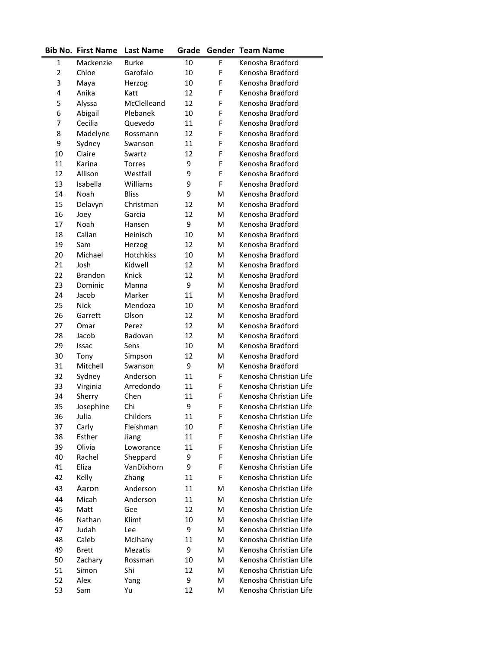|                | <b>Bib No. First Name</b> | <b>Last Name</b> | Grade |   | <b>Gender Team Name</b> |
|----------------|---------------------------|------------------|-------|---|-------------------------|
| 1              | Mackenzie                 | <b>Burke</b>     | 10    | F | Kenosha Bradford        |
| $\overline{2}$ | Chloe                     | Garofalo         | 10    | F | Kenosha Bradford        |
| 3              | Maya                      | Herzog           | 10    | F | Kenosha Bradford        |
| 4              | Anika                     | Katt             | 12    | F | Kenosha Bradford        |
| 5              | Alyssa                    | McClelleand      | 12    | F | Kenosha Bradford        |
| 6              | Abigail                   | Plebanek         | 10    | F | Kenosha Bradford        |
| 7              | Cecilia                   | Quevedo          | 11    | F | Kenosha Bradford        |
| 8              | Madelyne                  | Rossmann         | 12    | F | Kenosha Bradford        |
| 9              | Sydney                    | Swanson          | 11    | F | Kenosha Bradford        |
| 10             | Claire                    | Swartz           | 12    | F | Kenosha Bradford        |
| 11             | Karina                    | <b>Torres</b>    | 9     | F | Kenosha Bradford        |
| 12             | Allison                   | Westfall         | 9     | F | Kenosha Bradford        |
| 13             | Isabella                  | Williams         | 9     | F | Kenosha Bradford        |
| 14             | Noah                      | <b>Bliss</b>     | 9     | м | Kenosha Bradford        |
| 15             | Delavyn                   | Christman        | 12    | м | Kenosha Bradford        |
| 16             | Joey                      | Garcia           | 12    | м | Kenosha Bradford        |
| 17             | Noah                      | Hansen           | 9     | м | Kenosha Bradford        |
| 18             | Callan                    | Heinisch         | 10    | M | Kenosha Bradford        |
| 19             | Sam                       | Herzog           | 12    | M | Kenosha Bradford        |
| 20             | Michael                   | <b>Hotchkiss</b> | 10    | M | Kenosha Bradford        |
| 21             | Josh                      | Kidwell          | 12    | M | Kenosha Bradford        |
| 22             | <b>Brandon</b>            | Knick            | 12    | M | Kenosha Bradford        |
| 23             | Dominic                   | Manna            | 9     | M | Kenosha Bradford        |
| 24             | Jacob                     | Marker           | 11    | M | Kenosha Bradford        |
| 25             | <b>Nick</b>               | Mendoza          | 10    | м | Kenosha Bradford        |
| 26             | Garrett                   | Olson            | 12    | м | Kenosha Bradford        |
| 27             | Omar                      | Perez            | 12    | м | Kenosha Bradford        |
| 28             | Jacob                     | Radovan          | 12    | м | Kenosha Bradford        |
| 29             | Issac                     | Sens             | 10    | м | Kenosha Bradford        |
| 30             | Tony                      | Simpson          | 12    | м | Kenosha Bradford        |
| 31             | Mitchell                  | Swanson          | 9     | м | Kenosha Bradford        |
| 32             | Sydney                    | Anderson         | 11    | F | Kenosha Christian Life  |
| 33             | Virginia                  | Arredondo        | 11    | F | Kenosha Christian Life  |
| 34             | Sherry                    | Chen             | 11    | F | Kenosha Christian Life  |
| 35             | Josephine                 | Chi              | 9     | F | Kenosha Christian Life  |
| 36             | Julia                     | Childers         | 11    | F | Kenosha Christian Life  |
| 37             | Carly                     | Fleishman        | 10    | F | Kenosha Christian Life  |
| 38             | Esther                    | Jiang            | 11    | F | Kenosha Christian Life  |
| 39             | Olivia                    | Loworance        | 11    | F | Kenosha Christian Life  |
| 40             | Rachel                    | Sheppard         | 9     | F | Kenosha Christian Life  |
| 41             | Eliza                     | VanDixhorn       | 9     | F | Kenosha Christian Life  |
| 42             | Kelly                     | Zhang            | 11    | F | Kenosha Christian Life  |
| 43             | Aaron                     | Anderson         | 11    | M | Kenosha Christian Life  |
| 44             | Micah                     | Anderson         | 11    | M | Kenosha Christian Life  |
| 45             | Matt                      | Gee              | 12    | M | Kenosha Christian Life  |
| 46             | Nathan                    | Klimt            | 10    | M | Kenosha Christian Life  |
| 47             | Judah                     | Lee              | 9     | M | Kenosha Christian Life  |
| 48             | Caleb                     | McIhany          | 11    | M | Kenosha Christian Life  |
| 49             | <b>Brett</b>              | Mezatis          | 9     | M | Kenosha Christian Life  |
| 50             | Zachary                   | Rossman          | 10    | M | Kenosha Christian Life  |
| 51             | Simon                     | Shi              | 12    | Μ | Kenosha Christian Life  |
| 52             | Alex                      | Yang             | 9     | M | Kenosha Christian Life  |
| 53             | Sam                       | Yu               | 12    | M | Kenosha Christian Life  |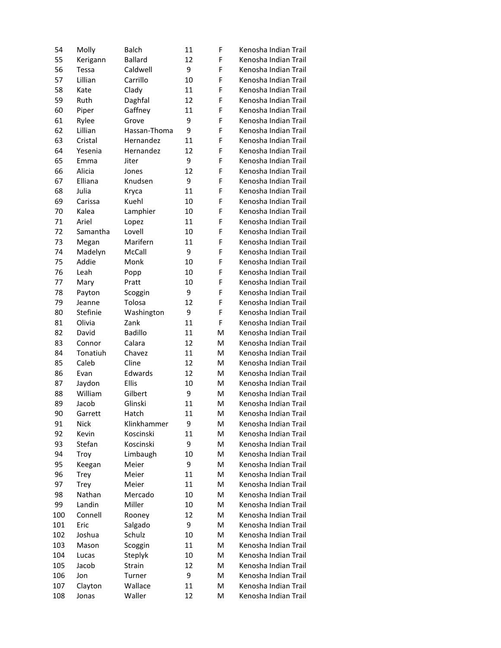| 54  | Molly       | Balch          | 11 | F | Kenosha Indian Trail |
|-----|-------------|----------------|----|---|----------------------|
| 55  | Kerigann    | <b>Ballard</b> | 12 | F | Kenosha Indian Trail |
| 56  | Tessa       | Caldwell       | 9  | F | Kenosha Indian Trail |
| 57  | Lillian     | Carrillo       | 10 | F | Kenosha Indian Trail |
| 58  | Kate        | Clady          | 11 | F | Kenosha Indian Trail |
| 59  | Ruth        | Daghfal        | 12 | F | Kenosha Indian Trail |
| 60  | Piper       | Gaffney        | 11 | F | Kenosha Indian Trail |
| 61  | Rylee       | Grove          | 9  | F | Kenosha Indian Trail |
| 62  | Lillian     | Hassan-Thoma   | 9  | F | Kenosha Indian Trail |
| 63  | Cristal     | Hernandez      | 11 | F | Kenosha Indian Trail |
| 64  | Yesenia     | Hernandez      | 12 | F | Kenosha Indian Trail |
| 65  | Emma        | Jiter          | 9  | F | Kenosha Indian Trail |
| 66  | Alicia      | Jones          | 12 | F | Kenosha Indian Trail |
| 67  | Elliana     | Knudsen        | 9  | F | Kenosha Indian Trail |
| 68  | Julia       | Kryca          | 11 | F | Kenosha Indian Trail |
| 69  | Carissa     | Kuehl          | 10 | F | Kenosha Indian Trail |
| 70  | Kalea       | Lamphier       | 10 | F | Kenosha Indian Trail |
| 71  | Ariel       | Lopez          | 11 | F | Kenosha Indian Trail |
| 72  | Samantha    | Lovell         | 10 | F | Kenosha Indian Trail |
| 73  | Megan       | Marifern       | 11 | F | Kenosha Indian Trail |
| 74  | Madelyn     | McCall         | 9  | F | Kenosha Indian Trail |
| 75  | Addie       | Monk           | 10 | F | Kenosha Indian Trail |
| 76  | Leah        | Popp           | 10 | F | Kenosha Indian Trail |
| 77  | Mary        | Pratt          | 10 | F | Kenosha Indian Trail |
| 78  | Payton      | Scoggin        | 9  | F | Kenosha Indian Trail |
| 79  | Jeanne      | Tolosa         | 12 | F | Kenosha Indian Trail |
| 80  | Stefinie    | Washington     | 9  | F | Kenosha Indian Trail |
| 81  | Olivia      | Zank           | 11 | F | Kenosha Indian Trail |
| 82  | David       | <b>Badillo</b> | 11 | M | Kenosha Indian Trail |
| 83  | Connor      | Calara         | 12 | M | Kenosha Indian Trail |
| 84  | Tonatiuh    | Chavez         | 11 | M | Kenosha Indian Trail |
| 85  | Caleb       | Cline          | 12 | M | Kenosha Indian Trail |
| 86  | Evan        | Edwards        | 12 | M | Kenosha Indian Trail |
| 87  | Jaydon      | <b>Ellis</b>   | 10 | M | Kenosha Indian Trail |
| 88  | William     | Gilbert        | 9  | M | Kenosha Indian Trail |
| 89  | Jacob       | Glinski        | 11 | M | Kenosha Indian Trail |
| 90  | Garrett     | Hatch          | 11 | Μ | Kenosha Indian Trail |
| 91  | <b>Nick</b> | Klinkhammer    | 9  | M | Kenosha Indian Trail |
| 92  | Kevin       | Koscinski      | 11 | Μ | Kenosha Indian Trail |
| 93  | Stefan      | Koscinski      | 9  | M | Kenosha Indian Trail |
| 94  | Troy        | Limbaugh       | 10 | M | Kenosha Indian Trail |
| 95  | Keegan      | Meier          | 9  | M | Kenosha Indian Trail |
| 96  | Trey        | Meier          | 11 | M | Kenosha Indian Trail |
| 97  | Trey        | Meier          | 11 | M | Kenosha Indian Trail |
| 98  | Nathan      | Mercado        | 10 | M | Kenosha Indian Trail |
| 99  | Landin      | Miller         | 10 | M | Kenosha Indian Trail |
| 100 | Connell     | Rooney         | 12 | Μ | Kenosha Indian Trail |
| 101 | Eric        | Salgado        | 9  | Μ | Kenosha Indian Trail |
| 102 | Joshua      | Schulz         | 10 | M | Kenosha Indian Trail |
| 103 | Mason       | Scoggin        | 11 | M | Kenosha Indian Trail |
| 104 | Lucas       | Steplyk        | 10 | M | Kenosha Indian Trail |
| 105 | Jacob       | Strain         | 12 | M | Kenosha Indian Trail |
| 106 | Jon         | Turner         | 9  | M | Kenosha Indian Trail |
| 107 | Clayton     | Wallace        | 11 | M | Kenosha Indian Trail |
| 108 | Jonas       | Waller         | 12 | M | Kenosha Indian Trail |
|     |             |                |    |   |                      |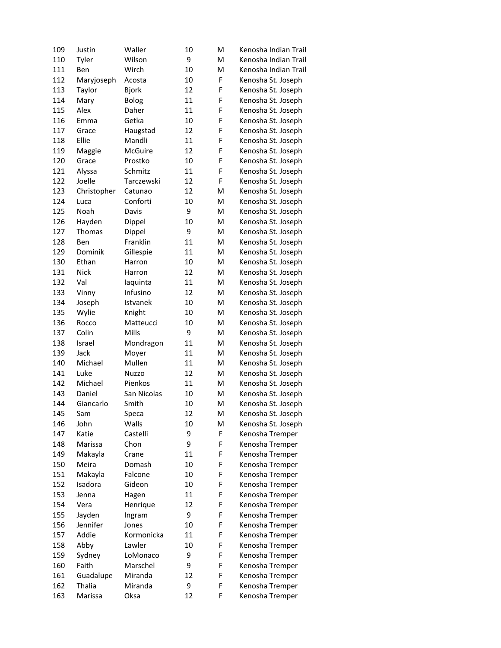| 109 | Justin      | Waller       | 10 | M | Kenosha Indian Trail |
|-----|-------------|--------------|----|---|----------------------|
| 110 | Tyler       | Wilson       | 9  | M | Kenosha Indian Trail |
| 111 | Ben         | Wirch        | 10 | M | Kenosha Indian Trail |
| 112 | Maryjoseph  | Acosta       | 10 | F | Kenosha St. Joseph   |
| 113 | Taylor      | <b>Bjork</b> | 12 | F | Kenosha St. Joseph   |
| 114 | Mary        | <b>Bolog</b> | 11 | F | Kenosha St. Joseph   |
| 115 | Alex        | Daher        | 11 | F | Kenosha St. Joseph   |
| 116 | Emma        | Getka        | 10 | F | Kenosha St. Joseph   |
| 117 | Grace       | Haugstad     | 12 | F | Kenosha St. Joseph   |
| 118 | Ellie       | Mandli       | 11 | F | Kenosha St. Joseph   |
| 119 | Maggie      | McGuire      | 12 | F | Kenosha St. Joseph   |
| 120 | Grace       | Prostko      | 10 | F | Kenosha St. Joseph   |
| 121 | Alyssa      | Schmitz      | 11 | F | Kenosha St. Joseph   |
| 122 | Joelle      | Tarczewski   | 12 | F | Kenosha St. Joseph   |
| 123 | Christopher | Catunao      | 12 | M | Kenosha St. Joseph   |
| 124 | Luca        | Conforti     | 10 | M | Kenosha St. Joseph   |
| 125 | Noah        | Davis        | 9  | M | Kenosha St. Joseph   |
| 126 | Hayden      | Dippel       | 10 | M | Kenosha St. Joseph   |
| 127 | Thomas      | Dippel       | 9  | M | Kenosha St. Joseph   |
| 128 | Ben         | Franklin     | 11 | M | Kenosha St. Joseph   |
| 129 | Dominik     | Gillespie    | 11 | M | Kenosha St. Joseph   |
| 130 | Ethan       | Harron       | 10 | M | Kenosha St. Joseph   |
| 131 | <b>Nick</b> | Harron       | 12 | M | Kenosha St. Joseph   |
| 132 | Val         | laquinta     | 11 | M | Kenosha St. Joseph   |
| 133 | Vinny       | Infusino     | 12 | M | Kenosha St. Joseph   |
| 134 | Joseph      | Istvanek     | 10 | M | Kenosha St. Joseph   |
| 135 | Wylie       | Knight       | 10 | M | Kenosha St. Joseph   |
| 136 | Rocco       | Matteucci    | 10 | M | Kenosha St. Joseph   |
| 137 | Colin       | Mills        | 9  | M | Kenosha St. Joseph   |
| 138 | Israel      | Mondragon    | 11 | M | Kenosha St. Joseph   |
| 139 | Jack        | Moyer        | 11 | M | Kenosha St. Joseph   |
| 140 | Michael     | Mullen       | 11 | M | Kenosha St. Joseph   |
| 141 | Luke        | <b>Nuzzo</b> | 12 | M | Kenosha St. Joseph   |
| 142 | Michael     | Pienkos      | 11 | M | Kenosha St. Joseph   |
| 143 | Daniel      | San Nicolas  | 10 | M | Kenosha St. Joseph   |
| 144 | Giancarlo   | Smith        | 10 | M | Kenosha St. Joseph   |
| 145 | Sam         | Speca        | 12 | M | Kenosha St. Joseph   |
| 146 | John        | Walls        | 10 | M | Kenosha St. Joseph   |
| 147 | Katie       | Castelli     | 9  | F | Kenosha Tremper      |
| 148 | Marissa     | Chon         | 9  | F | Kenosha Tremper      |
| 149 | Makayla     | Crane        | 11 | F | Kenosha Tremper      |
| 150 | Meira       | Domash       | 10 | F | Kenosha Tremper      |
| 151 | Makayla     | Falcone      | 10 | F | Kenosha Tremper      |
| 152 | Isadora     | Gideon       | 10 | F | Kenosha Tremper      |
| 153 | Jenna       | Hagen        | 11 | F | Kenosha Tremper      |
| 154 | Vera        | Henrique     | 12 | F | Kenosha Tremper      |
| 155 | Jayden      | Ingram       | 9  | F | Kenosha Tremper      |
| 156 | Jennifer    | Jones        | 10 | F | Kenosha Tremper      |
| 157 | Addie       | Kormonicka   | 11 | F | Kenosha Tremper      |
| 158 | Abby        | Lawler       | 10 | F | Kenosha Tremper      |
| 159 | Sydney      | LoMonaco     | 9  | F | Kenosha Tremper      |
| 160 | Faith       | Marschel     | 9  | F | Kenosha Tremper      |
| 161 | Guadalupe   | Miranda      | 12 | F | Kenosha Tremper      |
| 162 | Thalia      | Miranda      | 9  | F | Kenosha Tremper      |
| 163 | Marissa     | Oksa         | 12 | F | Kenosha Tremper      |
|     |             |              |    |   |                      |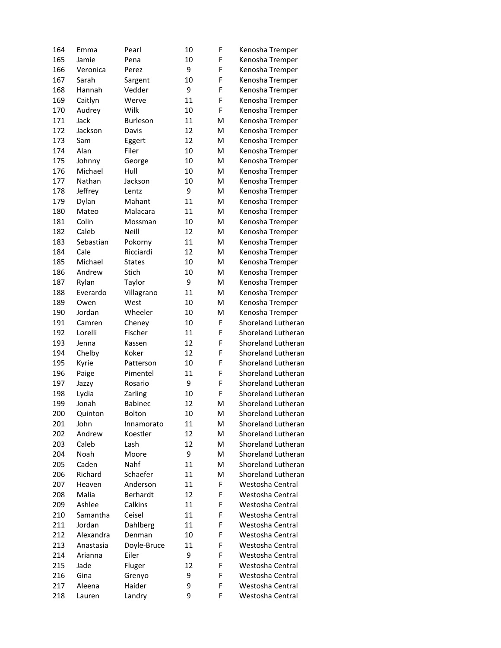| 164 | Emma      | Pearl           | 10 | F | Kenosha Tremper           |
|-----|-----------|-----------------|----|---|---------------------------|
| 165 | Jamie     | Pena            | 10 | F | Kenosha Tremper           |
| 166 | Veronica  | Perez           | 9  | F | Kenosha Tremper           |
| 167 | Sarah     | Sargent         | 10 | F | Kenosha Tremper           |
| 168 | Hannah    | Vedder          | 9  | F | Kenosha Tremper           |
| 169 | Caitlyn   | Werve           | 11 | F | Kenosha Tremper           |
| 170 | Audrey    | Wilk            | 10 | F | Kenosha Tremper           |
| 171 | Jack      | <b>Burleson</b> | 11 | M | Kenosha Tremper           |
| 172 | Jackson   | Davis           | 12 | м | Kenosha Tremper           |
| 173 | Sam       | Eggert          | 12 | M | Kenosha Tremper           |
| 174 | Alan      | Filer           | 10 | M | Kenosha Tremper           |
| 175 | Johnny    | George          | 10 | M | Kenosha Tremper           |
| 176 | Michael   | Hull            | 10 | M | Kenosha Tremper           |
| 177 | Nathan    | Jackson         | 10 | M | Kenosha Tremper           |
| 178 | Jeffrey   | Lentz           | 9  | M | Kenosha Tremper           |
| 179 | Dylan     | Mahant          | 11 | M | Kenosha Tremper           |
| 180 | Mateo     | Malacara        | 11 | M | Kenosha Tremper           |
| 181 | Colin     | Mossman         | 10 | M | Kenosha Tremper           |
| 182 | Caleb     | Neill           | 12 | M | Kenosha Tremper           |
| 183 | Sebastian | Pokorny         | 11 | M | Kenosha Tremper           |
| 184 | Cale      | Ricciardi       | 12 | M | Kenosha Tremper           |
| 185 | Michael   | <b>States</b>   | 10 | M | Kenosha Tremper           |
| 186 | Andrew    | Stich           | 10 | M | Kenosha Tremper           |
| 187 | Rylan     | Taylor          | 9  | M | Kenosha Tremper           |
| 188 | Everardo  | Villagrano      | 11 | M | Kenosha Tremper           |
| 189 | Owen      | West            | 10 | M | Kenosha Tremper           |
| 190 | Jordan    | Wheeler         | 10 | M | Kenosha Tremper           |
| 191 | Camren    | Cheney          | 10 | F | Shoreland Lutheran        |
| 192 | Lorelli   | Fischer         | 11 | F | Shoreland Lutheran        |
| 193 | Jenna     | Kassen          | 12 | F | Shoreland Lutheran        |
| 194 | Chelby    | Koker           | 12 | F | Shoreland Lutheran        |
| 195 | Kyrie     | Patterson       | 10 | F | Shoreland Lutheran        |
| 196 | Paige     | Pimentel        | 11 | F | Shoreland Lutheran        |
| 197 | Jazzy     | Rosario         | 9  | F | Shoreland Lutheran        |
| 198 | Lydia     | Zarling         | 10 | F | <b>Shoreland Lutheran</b> |
| 199 | Jonah     | <b>Babinec</b>  | 12 | M | Shoreland Lutheran        |
| 200 | Quinton   | Bolton          | 10 | м | Shoreland Lutheran        |
| 201 | John      | Innamorato      | 11 | M | Shoreland Lutheran        |
| 202 | Andrew    | Koestler        | 12 | M | Shoreland Lutheran        |
| 203 | Caleb     | Lash            | 12 | M | Shoreland Lutheran        |
| 204 | Noah      | Moore           | 9  | M | Shoreland Lutheran        |
| 205 | Caden     | Nahf            | 11 | M | Shoreland Lutheran        |
| 206 | Richard   | Schaefer        | 11 | M | <b>Shoreland Lutheran</b> |
| 207 | Heaven    | Anderson        | 11 | F | Westosha Central          |
| 208 | Malia     | Berhardt        | 12 | F | Westosha Central          |
| 209 | Ashlee    | Calkins         | 11 | F | Westosha Central          |
| 210 | Samantha  | Ceisel          | 11 | F | Westosha Central          |
| 211 | Jordan    | Dahlberg        | 11 | F | Westosha Central          |
| 212 | Alexandra | Denman          | 10 | F | Westosha Central          |
| 213 | Anastasia | Doyle-Bruce     | 11 | F | Westosha Central          |
| 214 | Arianna   | Eiler           | 9  | F | Westosha Central          |
| 215 | Jade      | Fluger          | 12 | F | Westosha Central          |
| 216 | Gina      | Grenyo          | 9  | F | Westosha Central          |
| 217 | Aleena    | Haider          | 9  | F | Westosha Central          |
| 218 | Lauren    | Landry          | 9  | F | Westosha Central          |
|     |           |                 |    |   |                           |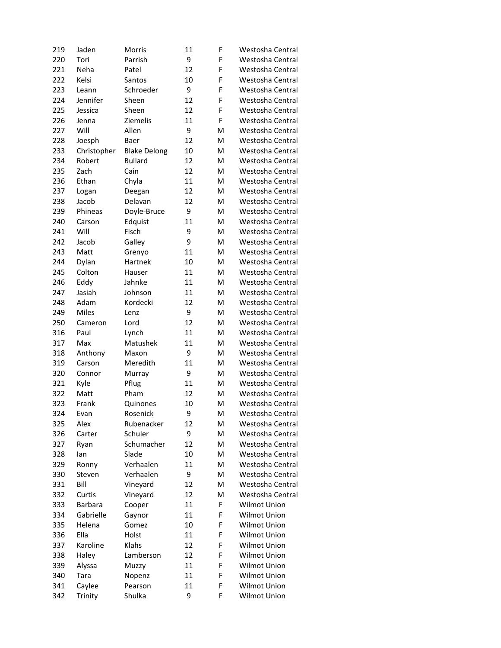| 219 | Jaden        | <b>Morris</b>       | 11 | F | Westosha Central    |
|-----|--------------|---------------------|----|---|---------------------|
| 220 | Tori         | Parrish             | 9  | F | Westosha Central    |
| 221 | Neha         | Patel               | 12 | F | Westosha Central    |
| 222 | Kelsi        | <b>Santos</b>       | 10 | F | Westosha Central    |
| 223 | Leann        | Schroeder           | 9  | F | Westosha Central    |
| 224 | Jennifer     | Sheen               | 12 | F | Westosha Central    |
| 225 | Jessica      | Sheen               | 12 | F | Westosha Central    |
| 226 | Jenna        | Ziemelis            | 11 | F | Westosha Central    |
| 227 | Will         | Allen               | 9  | M | Westosha Central    |
| 228 | Joesph       | Baer                | 12 | м | Westosha Central    |
| 233 | Christopher  | <b>Blake Delong</b> | 10 | M | Westosha Central    |
| 234 | Robert       | <b>Bullard</b>      | 12 | M | Westosha Central    |
| 235 | Zach         | Cain                | 12 | M | Westosha Central    |
| 236 | Ethan        | Chyla               | 11 | M | Westosha Central    |
| 237 | Logan        | Deegan              | 12 | м | Westosha Central    |
| 238 | Jacob        | Delavan             | 12 | м | Westosha Central    |
| 239 | Phineas      | Doyle-Bruce         | 9  | M | Westosha Central    |
| 240 | Carson       | Edquist             | 11 | M | Westosha Central    |
| 241 | Will         | Fisch               | 9  | M | Westosha Central    |
| 242 | Jacob        | Galley              | 9  | M | Westosha Central    |
| 243 | Matt         | Grenyo              | 11 | M | Westosha Central    |
| 244 | Dylan        | Hartnek             | 10 | M | Westosha Central    |
| 245 | Colton       | Hauser              | 11 | м | Westosha Central    |
| 246 | Eddy         | Jahnke              | 11 | M | Westosha Central    |
| 247 | Jasiah       | Johnson             | 11 | M | Westosha Central    |
| 248 | Adam         | Kordecki            | 12 | M | Westosha Central    |
|     | <b>Miles</b> |                     | 9  | M |                     |
| 249 |              | Lenz                |    |   | Westosha Central    |
| 250 | Cameron      | Lord                | 12 | M | Westosha Central    |
| 316 | Paul         | Lynch               | 11 | M | Westosha Central    |
| 317 | Max          | Matushek            | 11 | M | Westosha Central    |
| 318 | Anthony      | Maxon               | 9  | м | Westosha Central    |
| 319 | Carson       | Meredith            | 11 | M | Westosha Central    |
| 320 | Connor       | Murray              | 9  | M | Westosha Central    |
| 321 | Kyle         | Pflug               | 11 | M | Westosha Central    |
| 322 | Matt         | Pham                | 12 | M | Westosha Central    |
| 323 | Frank        | Quinones            | 10 | M | Westosha Central    |
| 324 | Evan         | Rosenick            | 9  | м | Westosha Central    |
| 325 | Alex         | Rubenacker          | 12 | Μ | Westosha Central    |
| 326 | Carter       | Schuler             | 9  | Μ | Westosha Central    |
| 327 | Ryan         | Schumacher          | 12 | Μ | Westosha Central    |
| 328 | lan          | Slade               | 10 | Μ | Westosha Central    |
| 329 | Ronny        | Verhaalen           | 11 | Μ | Westosha Central    |
| 330 | Steven       | Verhaalen           | 9  | Μ | Westosha Central    |
| 331 | Bill         | Vineyard            | 12 | Μ | Westosha Central    |
| 332 | Curtis       | Vineyard            | 12 | Μ | Westosha Central    |
| 333 | Barbara      | Cooper              | 11 | F | Wilmot Union        |
| 334 | Gabrielle    | Gaynor              | 11 | F | <b>Wilmot Union</b> |
| 335 | Helena       | Gomez               | 10 | F | Wilmot Union        |
| 336 | Ella         | Holst               | 11 | F | <b>Wilmot Union</b> |
| 337 | Karoline     | Klahs               | 12 | F | <b>Wilmot Union</b> |
| 338 | Haley        | Lamberson           | 12 | F | Wilmot Union        |
| 339 | Alyssa       | Muzzy               | 11 | F | Wilmot Union        |
| 340 | Tara         | Nopenz              | 11 | F | Wilmot Union        |
| 341 | Caylee       | Pearson             | 11 | F | Wilmot Union        |
| 342 | Trinity      | Shulka              | 9  | F | Wilmot Union        |